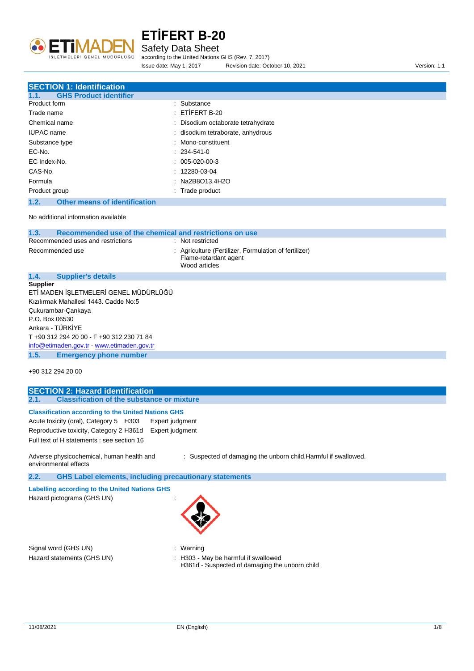

#### Safety Data Sheet

according to the United Nations GHS (Rev. 7, 2017)

Issue date: May 1, 2017 Revision date: October 10, 2021 Version: 1.1

#### **SECTION 1: Identification**

| <b>GHS Product identifier</b><br>1.1. |                                    |
|---------------------------------------|------------------------------------|
| Product form                          | : Substance                        |
| Trade name                            | $EITIERT B-20$                     |
| Chemical name                         | : Disodium octaborate tetrahydrate |
| <b>IUPAC</b> name                     | : disodium tetraborate, anhydrous  |
| Substance type                        | : Mono-constituent                 |
| EC-No.                                | $: 234 - 541 - 0$                  |
| EC Index-No.                          | $: 005-020-00-3$                   |
| CAS-No.                               | $: 12280-03-04$                    |
| Formula                               | : Na2B8O13.4H2O                    |
| Product group                         | : Trade product                    |

#### **1.2. Other means of identification**

[info@etimaden.gov.tr](mailto:info@etimaden.gov.tr) - [www.etimaden.gov.tr](http://www.etimaden.gov.tr/) **1.5. Emergency phone number**

No additional information available

| 1.3.<br>Recommended use of the chemical and restrictions on use |                                                                                                 |  |
|-----------------------------------------------------------------|-------------------------------------------------------------------------------------------------|--|
| Recommended uses and restrictions                               | : Not restricted                                                                                |  |
| Recommended use                                                 | : Agriculture (Fertilizer, Formulation of fertilizer)<br>Flame-retardant agent<br>Wood articles |  |
| 1.4.<br><b>Supplier's details</b>                               |                                                                                                 |  |
| <b>Supplier</b>                                                 |                                                                                                 |  |
| ETİ MADEN İSLETMELERİ GENEL MÜDÜRLÜĞÜ                           |                                                                                                 |  |
| Kızılırmak Mahallesi 1443, Cadde No:5                           |                                                                                                 |  |
| Cukurambar-Cankaya                                              |                                                                                                 |  |
| P.O. Box 06530                                                  |                                                                                                 |  |
| Ankara - TÜRKİYE                                                |                                                                                                 |  |
| T +90 312 294 20 00 - F +90 312 230 71 84                       |                                                                                                 |  |

+90 312 294 20 00

## **SECTION 2: Hazard identification 2.1. Classification of the substance or mixture Classification according to the United Nations GHS** Acute toxicity (oral), Category 5 H303 Expert judgment Reproductive toxicity, Category 2 H361d Expert judgment Full text of H statements : see section 16

Adverse physicochemical, human health and environmental effects : Suspected of damaging the unborn child,Harmful if swallowed.

**2.2. GHS Label elements, including precautionary statements**

**Labelling according to the United Nations GHS**

Hazard pictograms (GHS UN) :



Signal word (GHS UN)  $\qquad \qquad$ : Warning

- Hazard statements (GHS UN) : H303 May be harmful if swallowed
	- H361d Suspected of damaging the unborn child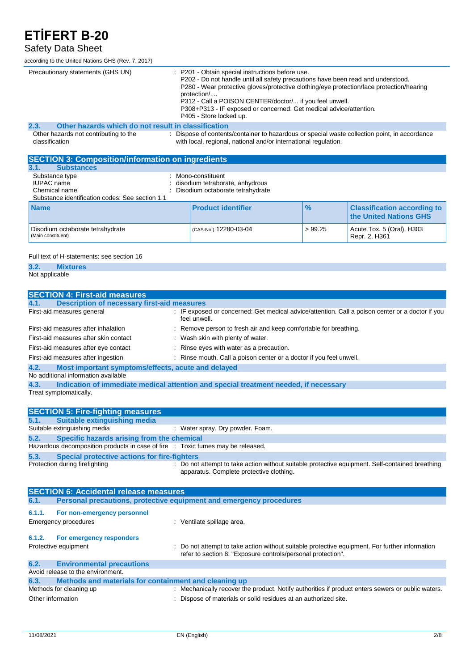### Safety Data Sheet

according to the United Nations GHS (Rev. 7, 2017)

| according to the Office Nations Gills (Kev. 7, 2017)        |                                                                                                                                                                                                                                                                                                                                                                                                             |  |  |
|-------------------------------------------------------------|-------------------------------------------------------------------------------------------------------------------------------------------------------------------------------------------------------------------------------------------------------------------------------------------------------------------------------------------------------------------------------------------------------------|--|--|
| Precautionary statements (GHS UN)                           | : P201 - Obtain special instructions before use.<br>P202 - Do not handle until all safety precautions have been read and understood.<br>P280 - Wear protective gloves/protective clothing/eye protection/face protection/hearing<br>protection/<br>P312 - Call a POISON CENTER/doctor/ if you feel unwell.<br>P308+P313 - IF exposed or concerned: Get medical advice/attention.<br>P405 - Store locked up. |  |  |
| Other hazards which do not result in classification<br>2.3. |                                                                                                                                                                                                                                                                                                                                                                                                             |  |  |
| Other hazards not contributing to the<br>classification     | : Dispose of contents/container to hazardous or special waste collection point, in accordance<br>with local, regional, national and/or international regulation.                                                                                                                                                                                                                                            |  |  |
| <b>SECTION 3: Composition/information on ingredients</b>    |                                                                                                                                                                                                                                                                                                                                                                                                             |  |  |
| <b>Substances</b><br>3.1.                                   |                                                                                                                                                                                                                                                                                                                                                                                                             |  |  |
| Substance type                                              | : Mono-constituent                                                                                                                                                                                                                                                                                                                                                                                          |  |  |
| <b>IUPAC</b> name                                           | : disodium tetraborate, anhydrous                                                                                                                                                                                                                                                                                                                                                                           |  |  |
| Chemical name                                               | : Disodium octaborate tetrahydrate                                                                                                                                                                                                                                                                                                                                                                          |  |  |
| Substance identification codes: See section 1.1             |                                                                                                                                                                                                                                                                                                                                                                                                             |  |  |

| <b>Name</b>                                           | <b>Product identifier</b> | $\frac{9}{6}$ | <b>Classification according to  </b><br>the United Nations GHS |
|-------------------------------------------------------|---------------------------|---------------|----------------------------------------------------------------|
| Disodium octaborate tetrahydrate<br>Main constituent) | CAS-No.) 12280-03-04      | >99.25        | Acute Tox. 5 (Oral), H303<br>Repr. 2. H361                     |

Full text of H-statements: see section 16

**3.2. Mixtures**

Not applicable

| <b>SECTION 4: First-aid measures</b>                                                                                                           |  |  |
|------------------------------------------------------------------------------------------------------------------------------------------------|--|--|
| <b>Description of necessary first-aid measures</b>                                                                                             |  |  |
| : IF exposed or concerned: Get medical advice/attention. Call a poison center or a doctor if you<br>First-aid measures general<br>feel unwell. |  |  |
| : Remove person to fresh air and keep comfortable for breathing.<br>First-aid measures after inhalation                                        |  |  |
| : Wash skin with plenty of water.<br>First-aid measures after skin contact                                                                     |  |  |
| : Rinse eyes with water as a precaution.<br>First-aid measures after eye contact                                                               |  |  |
| : Rinse mouth. Call a poison center or a doctor if you feel unwell.<br>First-aid measures after ingestion                                      |  |  |
| Most important symptoms/effects, acute and delayed<br>4.2.                                                                                     |  |  |
| No additional information available                                                                                                            |  |  |
| Indication of immediate medical attention and special treatment needed, if necessary                                                           |  |  |
| Treat symptomatically.                                                                                                                         |  |  |

|      | <b>SECTION 5: Fire-fighting measures</b>                                        |                                                                                                                                             |
|------|---------------------------------------------------------------------------------|---------------------------------------------------------------------------------------------------------------------------------------------|
| 5.1. | <b>Suitable extinguishing media</b>                                             |                                                                                                                                             |
|      | Suitable extinguishing media                                                    | : Water spray. Dry powder. Foam.                                                                                                            |
| 5.2. | Specific hazards arising from the chemical                                      |                                                                                                                                             |
|      | Hazardous decomposition products in case of fire : Toxic fumes may be released. |                                                                                                                                             |
| 5.3. | Special protective actions for fire-fighters                                    |                                                                                                                                             |
|      | Protection during firefighting                                                  | : Do not attempt to take action without suitable protective equipment. Self-contained breathing<br>apparatus. Complete protective clothing. |

| <b>SECTION 6: Accidental release measures</b> |                                                                       |                                                                                                                                                                |  |
|-----------------------------------------------|-----------------------------------------------------------------------|----------------------------------------------------------------------------------------------------------------------------------------------------------------|--|
| 6.1.                                          | Personal precautions, protective equipment and emergency procedures   |                                                                                                                                                                |  |
| 6.1.1.                                        | For non-emergency personnel<br>Emergency procedures                   | : Ventilate spillage area.                                                                                                                                     |  |
| 6.1.2.                                        | For emergency responders<br>Protective equipment                      | : Do not attempt to take action without suitable protective equipment. For further information<br>refer to section 8: "Exposure controls/personal protection". |  |
| 6.2.                                          | <b>Environmental precautions</b><br>Avoid release to the environment. |                                                                                                                                                                |  |
| 6.3.                                          | Methods and materials for containment and cleaning up                 |                                                                                                                                                                |  |
|                                               | Methods for cleaning up                                               | : Mechanically recover the product. Notify authorities if product enters sewers or public waters.                                                              |  |
| Other information                             |                                                                       | : Dispose of materials or solid residues at an authorized site.                                                                                                |  |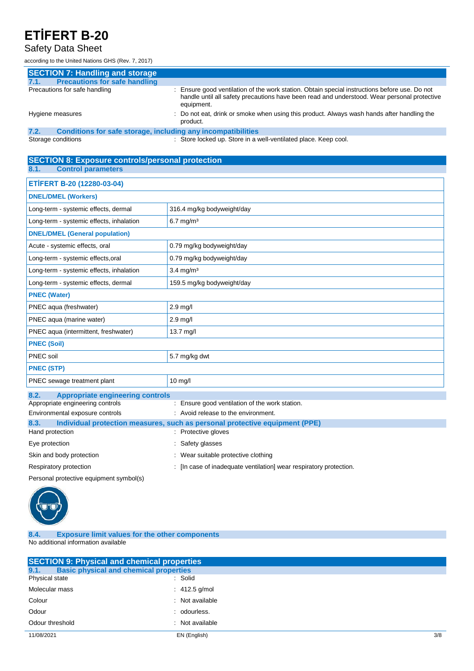## Safety Data Sheet

according to the United Nations GHS (Rev. 7, 2017)

| <b>SECTION 7: Handling and storage</b>                               |                                                                                                                                                                                                            |
|----------------------------------------------------------------------|------------------------------------------------------------------------------------------------------------------------------------------------------------------------------------------------------------|
| <b>Precautions for safe handling</b><br>7.1.                         |                                                                                                                                                                                                            |
| Precautions for safe handling                                        | : Ensure good ventilation of the work station. Obtain special instructions before use. Do not<br>handle until all safety precautions have been read and understood. Wear personal protective<br>equipment. |
| Hygiene measures                                                     | : Do not eat, drink or smoke when using this product. Always wash hands after handling the<br>product.                                                                                                     |
| 7.2.<br>Conditions for safe storage, including any incompatibilities |                                                                                                                                                                                                            |

Storage conditions **Store in a well-ventilated place.** Keep cool.

#### **SECTION 8: Exposure controls/personal protection 8.1. Control parameters**

| ETİFERT B-20 (12280-03-04)                          |                            |  |
|-----------------------------------------------------|----------------------------|--|
| <b>DNEL/DMEL (Workers)</b>                          |                            |  |
| Long-term - systemic effects, dermal                | 316.4 mg/kg bodyweight/day |  |
| Long-term - systemic effects, inhalation            | $6.7$ mg/m <sup>3</sup>    |  |
| <b>DNEL/DMEL (General population)</b>               |                            |  |
| Acute - systemic effects, oral                      | 0.79 mg/kg bodyweight/day  |  |
| Long-term - systemic effects, oral                  | 0.79 mg/kg bodyweight/day  |  |
| Long-term - systemic effects, inhalation            | $3.4 \text{ mg/m}^3$       |  |
| Long-term - systemic effects, dermal                | 159.5 mg/kg bodyweight/day |  |
| <b>PNEC (Water)</b>                                 |                            |  |
| PNEC aqua (freshwater)                              | 2.9 mg/l                   |  |
| PNEC aqua (marine water)                            | $2.9$ mg/l                 |  |
| PNEC aqua (intermittent, freshwater)                | $13.7$ mg/l                |  |
| <b>PNEC (Soil)</b>                                  |                            |  |
| PNEC soil                                           | 5.7 mg/kg dwt              |  |
| <b>PNEC (STP)</b>                                   |                            |  |
| PNEC sewage treatment plant                         | 10 mg/l                    |  |
| $\circ$ $\circ$<br>Appropriate engineering centrals |                            |  |

| 0.2.<br>Appropriate engineering controls |                                                                             |
|------------------------------------------|-----------------------------------------------------------------------------|
| Appropriate engineering controls         | : Ensure good ventilation of the work station.                              |
| Environmental exposure controls          | : Avoid release to the environment.                                         |
| 8.3.                                     | Individual protection measures, such as personal protective equipment (PPE) |
| Hand protection                          | : Protective gloves                                                         |
| Eye protection                           | : Safety glasses                                                            |
| Skin and body protection                 | : Wear suitable protective clothing                                         |
| Respiratory protection                   | : [In case of inadequate ventilation] wear respiratory protection.          |
| Personal protective equipment symbol(s)  |                                                                             |



#### **8.4. Exposure limit values for the other components** No additional information available

| <b>SECTION 9: Physical and chemical properties</b> |                                               |     |
|----------------------------------------------------|-----------------------------------------------|-----|
| 9.1.                                               | <b>Basic physical and chemical properties</b> |     |
| Physical state                                     | : Solid                                       |     |
| Molecular mass                                     | $\therefore$ 412.5 g/mol                      |     |
| Colour                                             | : Not available                               |     |
| Odour                                              | : odourless.                                  |     |
| Odour threshold                                    | : Not available                               |     |
| 11/08/2021                                         | EN (English)                                  | 3/8 |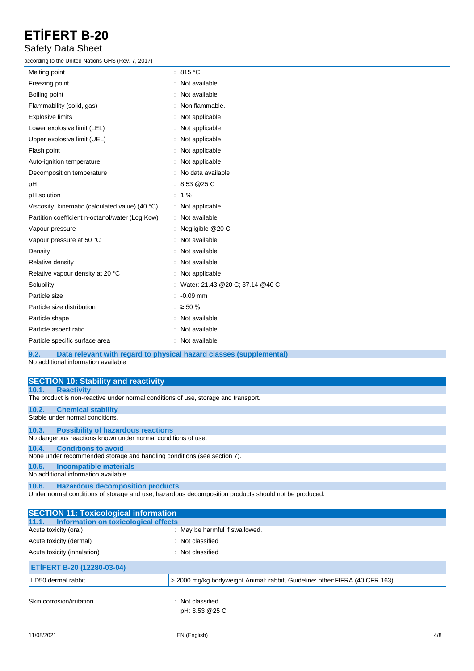### Safety Data Sheet

according to the United Nations GHS (Rev. 7, 2017)

| Melting point                                   | : 815 $^{\circ}$ C                |
|-------------------------------------------------|-----------------------------------|
| Freezing point                                  | : Not available                   |
| Boiling point                                   | Not available                     |
| Flammability (solid, gas)                       | Non flammable.                    |
| <b>Explosive limits</b>                         | Not applicable                    |
| Lower explosive limit (LEL)                     | : Not applicable                  |
| Upper explosive limit (UEL)                     | : Not applicable                  |
| Flash point                                     | : Not applicable                  |
| Auto-ignition temperature                       | Not applicable                    |
| Decomposition temperature                       | : No data available               |
| pH                                              | : 8.53@25C                        |
| pH solution                                     | $: 1\%$                           |
| Viscosity, kinematic (calculated value) (40 °C) | : Not applicable                  |
| Partition coefficient n-octanol/water (Log Kow) | : Not available                   |
| Vapour pressure                                 | Negligible @20 C                  |
| Vapour pressure at 50 °C                        | Not available                     |
| Density                                         | Not available                     |
| Relative density                                | Not available                     |
| Relative vapour density at 20 °C                | : Not applicable                  |
| Solubility                                      | : Water: 21.43 @20 C; 37.14 @40 C |
| Particle size                                   | $: -0.09$ mm                      |
| Particle size distribution                      | : $\geq 50 \%$                    |
| Particle shape                                  | Not available                     |
| Particle aspect ratio                           | Not available                     |
| Particle specific surface area                  | Not available                     |
|                                                 |                                   |

**9.2. Data relevant with regard to physical hazard classes (supplemental)**

No additional information available

| <b>SECTION 10: Stability and reactivity</b>                                                          |
|------------------------------------------------------------------------------------------------------|
| 10.1. Reactivity                                                                                     |
| The product is non-reactive under normal conditions of use, storage and transport.                   |
| 10.2. Chemical stability                                                                             |
| Stable under normal conditions.                                                                      |
| 10.3. Possibility of hazardous reactions                                                             |
| No dangerous reactions known under normal conditions of use.                                         |
| 10.4. Conditions to avoid                                                                            |
| None under recommended storage and handling conditions (see section 7).                              |
| 10.5. Incompatible materials                                                                         |
| No additional information available                                                                  |
| 10.6. Hazardous decomposition products                                                               |
| Under normal conditions of storage and use, hazardous decomposition products should not be produced. |

| <b>SECTION 11: Toxicological information</b>  |                                                                              |  |  |
|-----------------------------------------------|------------------------------------------------------------------------------|--|--|
| Information on toxicological effects<br>11.1. |                                                                              |  |  |
| Acute toxicity (oral)                         | : May be harmful if swallowed.                                               |  |  |
| Acute toxicity (dermal)                       | : Not classified                                                             |  |  |
| Acute toxicity (inhalation)                   | : Not classified                                                             |  |  |
| ETİFERT B-20 (12280-03-04)                    |                                                                              |  |  |
| LD50 dermal rabbit                            | > 2000 mg/kg bodyweight Animal: rabbit, Guideline: other: FIFRA (40 CFR 163) |  |  |
| Skin corrosion/irritation                     | : Not classified<br>pH: 8.53 @25 C                                           |  |  |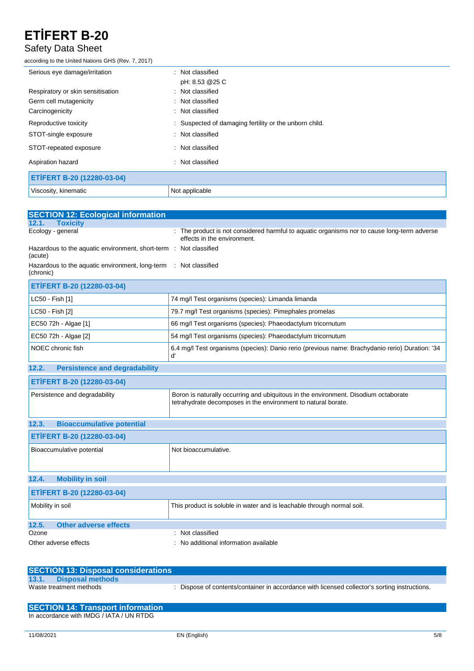### Safety Data Sheet

according to the United Nations GHS (Rev. 7, 2017)

| Serious eye damage/irritation     | : Not classified                                       |
|-----------------------------------|--------------------------------------------------------|
|                                   | pH: 8.53 @25 C                                         |
| Respiratory or skin sensitisation | : Not classified                                       |
| Germ cell mutagenicity            | : Not classified                                       |
| Carcinogenicity                   | : Not classified                                       |
| Reproductive toxicity             | : Suspected of damaging fertility or the unborn child. |
| STOT-single exposure              | : Not classified                                       |
| STOT-repeated exposure            | : Not classified                                       |
| Aspiration hazard                 | : Not classified                                       |
| ETİFERT B-20 (12280-03-04)        |                                                        |
| Viscosity, kinematic              | Not applicable                                         |

| <b>SECTION 12: Ecological information</b>                                    |                                                                                                                                                      |  |
|------------------------------------------------------------------------------|------------------------------------------------------------------------------------------------------------------------------------------------------|--|
| 12.1.<br><b>Toxicity</b>                                                     |                                                                                                                                                      |  |
| Ecology - general                                                            | : The product is not considered harmful to aquatic organisms nor to cause long-term adverse<br>effects in the environment.                           |  |
| Hazardous to the aquatic environment, short-term : Not classified<br>(acute) |                                                                                                                                                      |  |
| Hazardous to the aquatic environment, long-term<br>(chronic)                 | : Not classified                                                                                                                                     |  |
| ETİFERT B-20 (12280-03-04)                                                   |                                                                                                                                                      |  |
| LC50 - Fish [1]                                                              | 74 mg/l Test organisms (species): Limanda limanda                                                                                                    |  |
| LC50 - Fish [2]                                                              | 79.7 mg/l Test organisms (species): Pimephales promelas                                                                                              |  |
| EC50 72h - Algae [1]                                                         | 66 mg/l Test organisms (species): Phaeodactylum tricornutum                                                                                          |  |
| EC50 72h - Algae [2]                                                         | 54 mg/l Test organisms (species): Phaeodactylum tricornutum                                                                                          |  |
| NOEC chronic fish                                                            | 6.4 mg/l Test organisms (species): Danio rerio (previous name: Brachydanio rerio) Duration: '34<br>ď                                                 |  |
| <b>Persistence and degradability</b><br>12.2.                                |                                                                                                                                                      |  |
| ETİFERT B-20 (12280-03-04)                                                   |                                                                                                                                                      |  |
| Persistence and degradability                                                | Boron is naturally occurring and ubiquitous in the environment. Disodium octaborate<br>tetrahydrate decomposes in the environment to natural borate. |  |
| 12.3.<br><b>Bioaccumulative potential</b>                                    |                                                                                                                                                      |  |
| ETİFERT B-20 (12280-03-04)                                                   |                                                                                                                                                      |  |
| Bioaccumulative potential                                                    | Not bioaccumulative.                                                                                                                                 |  |
| 12.4.<br><b>Mobility in soil</b>                                             |                                                                                                                                                      |  |
| ETİFERT B-20 (12280-03-04)                                                   |                                                                                                                                                      |  |
| Mobility in soil                                                             | This product is soluble in water and is leachable through normal soil.                                                                               |  |
| 12.5.<br><b>Other adverse effects</b>                                        |                                                                                                                                                      |  |
| Ozone                                                                        | : Not classified                                                                                                                                     |  |
| Other adverse effects                                                        | No additional information available                                                                                                                  |  |

| <b>SECTION 13: Disposal considerations</b> |                                                                                               |
|--------------------------------------------|-----------------------------------------------------------------------------------------------|
| 13.1. Disposal methods                     |                                                                                               |
| Waste treatment methods                    | : Dispose of contents/container in accordance with licensed collector's sorting instructions. |

**SECTION 14: Transport information** In accordance with IMDG / IATA / UN RTDG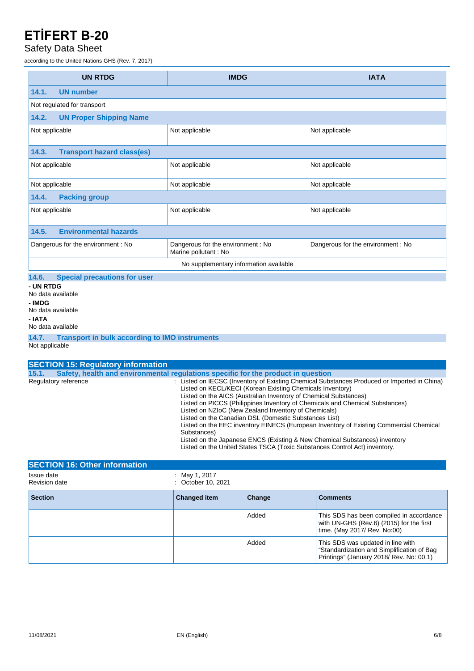### Safety Data Sheet

according to the United Nations GHS (Rev. 7, 2017)

| <b>UN RTDG</b>                                                | <b>IMDG</b>                                                 | <b>IATA</b>                        |
|---------------------------------------------------------------|-------------------------------------------------------------|------------------------------------|
| <b>UN number</b><br>14.1.                                     |                                                             |                                    |
| Not regulated for transport                                   |                                                             |                                    |
| 14.2.<br><b>UN Proper Shipping Name</b>                       |                                                             |                                    |
| Not applicable                                                | Not applicable                                              | Not applicable                     |
| <b>Transport hazard class(es)</b><br>14.3.                    |                                                             |                                    |
| Not applicable                                                | Not applicable                                              | Not applicable                     |
| Not applicable                                                | Not applicable                                              | Not applicable                     |
| 14.4.<br><b>Packing group</b>                                 |                                                             |                                    |
| Not applicable                                                | Not applicable                                              | Not applicable                     |
| <b>Environmental hazards</b><br>14.5.                         |                                                             |                                    |
| Dangerous for the environment : No                            | Dangerous for the environment : No<br>Marine pollutant : No | Dangerous for the environment : No |
| No supplementary information available                        |                                                             |                                    |
| 14.6.<br><b>Special precautions for user</b>                  |                                                             |                                    |
| - UN RTDG<br>No data available<br>- IMDG<br>No data available |                                                             |                                    |
| - IATA<br>No data available                                   |                                                             |                                    |

**14.7. Transport in bulk according to IMO instruments** Not applicable

| <b>SECTION 15: Regulatory information</b> |                                                                                                                                                                                                                                                                                                                                                                                                                                                                                                                                                                                                                                                                                                    |
|-------------------------------------------|----------------------------------------------------------------------------------------------------------------------------------------------------------------------------------------------------------------------------------------------------------------------------------------------------------------------------------------------------------------------------------------------------------------------------------------------------------------------------------------------------------------------------------------------------------------------------------------------------------------------------------------------------------------------------------------------------|
| 15.1.                                     | Safety, health and environmental requiations specific for the product in question                                                                                                                                                                                                                                                                                                                                                                                                                                                                                                                                                                                                                  |
| Regulatory reference                      | : Listed on IECSC (Inventory of Existing Chemical Substances Produced or Imported in China)<br>Listed on KECL/KECI (Korean Existing Chemicals Inventory)<br>Listed on the AICS (Australian Inventory of Chemical Substances)<br>Listed on PICCS (Philippines Inventory of Chemicals and Chemical Substances)<br>Listed on NZIoC (New Zealand Inventory of Chemicals)<br>Listed on the Canadian DSL (Domestic Substances List)<br>Listed on the EEC inventory EINECS (European Inventory of Existing Commercial Chemical<br>Substances)<br>Listed on the Japanese ENCS (Existing & New Chemical Substances) inventory<br>Listed on the United States TSCA (Toxic Substances Control Act) inventory. |

| <b>SECTION 16: Other information</b> |                                     |        |                                                                                                                             |
|--------------------------------------|-------------------------------------|--------|-----------------------------------------------------------------------------------------------------------------------------|
| Issue date<br><b>Revision date</b>   | : May 1, 2017<br>: October 10, 2021 |        |                                                                                                                             |
| <b>Section</b>                       | <b>Changed item</b>                 | Change | <b>Comments</b>                                                                                                             |
|                                      |                                     | Added  | This SDS has been compiled in accordance<br>with UN-GHS (Rev.6) (2015) for the first<br>time. (May 2017/ Rev. No:00)        |
|                                      |                                     | Added  | This SDS was updated in line with<br>"Standardization and Simplification of Bag<br>Printings" (January 2018/ Rev. No: 00.1) |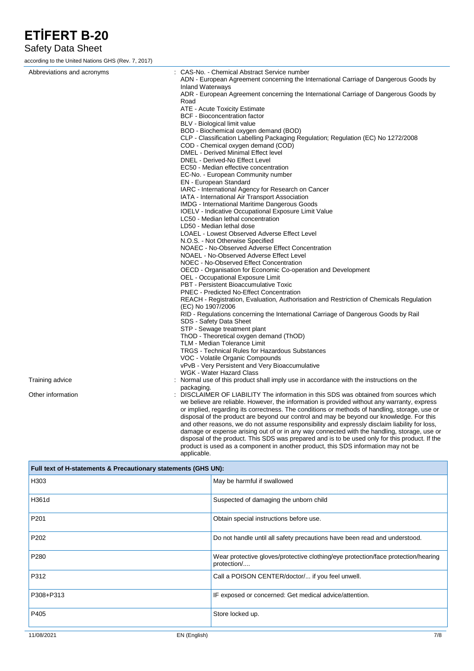### Safety Data Sheet

according to the United Nations GHS (Rev. 7, 2017)

| Abbreviations and acronyms | : CAS-No. - Chemical Abstract Service number                                                                                                                                              |
|----------------------------|-------------------------------------------------------------------------------------------------------------------------------------------------------------------------------------------|
|                            | ADN - European Agreement concerning the International Carriage of Dangerous Goods by<br><b>Inland Waterways</b>                                                                           |
|                            | ADR - European Agreement concerning the International Carriage of Dangerous Goods by                                                                                                      |
|                            | Road                                                                                                                                                                                      |
|                            | ATE - Acute Toxicity Estimate                                                                                                                                                             |
|                            | <b>BCF</b> - Bioconcentration factor                                                                                                                                                      |
|                            | BLV - Biological limit value                                                                                                                                                              |
|                            | BOD - Biochemical oxygen demand (BOD)                                                                                                                                                     |
|                            | CLP - Classification Labelling Packaging Regulation; Regulation (EC) No 1272/2008                                                                                                         |
|                            | COD - Chemical oxygen demand (COD)                                                                                                                                                        |
|                            | DMEL - Derived Minimal Effect level                                                                                                                                                       |
|                            | DNEL - Derived-No Effect Level                                                                                                                                                            |
|                            | EC50 - Median effective concentration                                                                                                                                                     |
|                            | EC-No. - European Community number                                                                                                                                                        |
|                            | <b>EN</b> - European Standard                                                                                                                                                             |
|                            | IARC - International Agency for Research on Cancer                                                                                                                                        |
|                            | IATA - International Air Transport Association                                                                                                                                            |
|                            | <b>IMDG</b> - International Maritime Dangerous Goods                                                                                                                                      |
|                            | <b>IOELV</b> - Indicative Occupational Exposure Limit Value                                                                                                                               |
|                            | LC50 - Median lethal concentration                                                                                                                                                        |
|                            | LD50 - Median lethal dose                                                                                                                                                                 |
|                            | LOAEL - Lowest Observed Adverse Effect Level                                                                                                                                              |
|                            | N.O.S. - Not Otherwise Specified<br>NOAEC - No-Observed Adverse Effect Concentration                                                                                                      |
|                            | NOAEL - No-Observed Adverse Effect Level                                                                                                                                                  |
|                            | NOEC - No-Observed Effect Concentration                                                                                                                                                   |
|                            | OECD - Organisation for Economic Co-operation and Development                                                                                                                             |
|                            | OEL - Occupational Exposure Limit                                                                                                                                                         |
|                            | PBT - Persistent Bioaccumulative Toxic                                                                                                                                                    |
|                            | <b>PNEC - Predicted No-Effect Concentration</b>                                                                                                                                           |
|                            | REACH - Registration, Evaluation, Authorisation and Restriction of Chemicals Regulation                                                                                                   |
|                            | (EC) No 1907/2006                                                                                                                                                                         |
|                            | RID - Regulations concerning the International Carriage of Dangerous Goods by Rail                                                                                                        |
|                            | SDS - Safety Data Sheet                                                                                                                                                                   |
|                            | STP - Sewage treatment plant                                                                                                                                                              |
|                            | ThOD - Theoretical oxygen demand (ThOD)                                                                                                                                                   |
|                            | TLM - Median Tolerance Limit                                                                                                                                                              |
|                            | <b>TRGS - Technical Rules for Hazardous Substances</b>                                                                                                                                    |
|                            | VOC - Volatile Organic Compounds                                                                                                                                                          |
|                            | vPvB - Very Persistent and Very Bioaccumulative                                                                                                                                           |
|                            | <b>WGK - Water Hazard Class</b>                                                                                                                                                           |
| Training advice            | : Normal use of this product shall imply use in accordance with the instructions on the                                                                                                   |
|                            | packaging.                                                                                                                                                                                |
| Other information          | : DISCLAIMER OF LIABILITY The information in this SDS was obtained from sources which                                                                                                     |
|                            | we believe are reliable. However, the information is provided without any warranty, express                                                                                               |
|                            | or implied, regarding its correctness. The conditions or methods of handling, storage, use or                                                                                             |
|                            | disposal of the product are beyond our control and may be beyond our knowledge. For this<br>and other reasons, we do not assume responsibility and expressly disclaim liability for loss, |
|                            | damage or expense arising out of or in any way connected with the handling, storage, use or                                                                                               |
|                            | disposal of the product. This SDS was prepared and is to be used only for this product. If the                                                                                            |

product is used as a component in another product, this SDS information may not be applicable.

| Full text of H-statements & Precautionary statements (GHS UN): |                                                                                                  |  |  |
|----------------------------------------------------------------|--------------------------------------------------------------------------------------------------|--|--|
| H303                                                           | May be harmful if swallowed                                                                      |  |  |
| H361d                                                          | Suspected of damaging the unborn child                                                           |  |  |
| P201                                                           | Obtain special instructions before use.                                                          |  |  |
| P202                                                           | Do not handle until all safety precautions have been read and understood.                        |  |  |
| P280                                                           | Wear protective gloves/protective clothing/eye protection/face protection/hearing<br>protection/ |  |  |
| P312                                                           | Call a POISON CENTER/doctor/ if you feel unwell.                                                 |  |  |
| P308+P313                                                      | IF exposed or concerned: Get medical advice/attention.                                           |  |  |
| P405                                                           | Store locked up.                                                                                 |  |  |